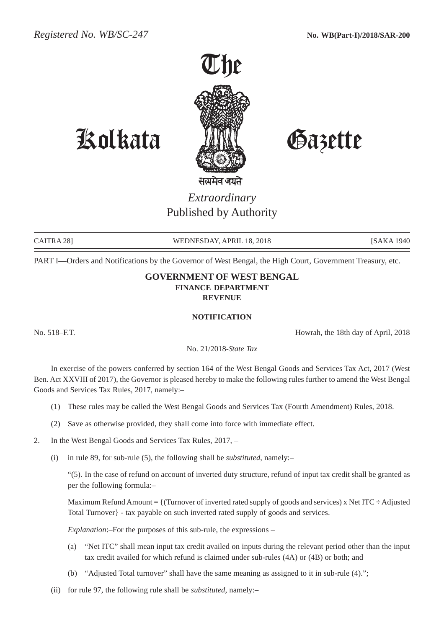

Kolkata Gazette

# *Extraordinary* Published by Authority

CAITRA 28] WEDNESDAY, APRIL 18, 2018 [SAKA 1940]

PART I—Orders and Notifications by the Governor of West Bengal, the High Court, Government Treasury, etc.

# **GOVERNMENT OF WEST BENGAL FINANCE DEPARTMENT REVENUE**

# **NOTIFICATION**

No. 518–F.T. Howrah, the 18th day of April, 2018

No. 21/2018-*State Tax*

In exercise of the powers conferred by section 164 of the West Bengal Goods and Services Tax Act, 2017 (West Ben. Act XXVIII of 2017), the Governor is pleased hereby to make the following rules further to amend the West Bengal Goods and Services Tax Rules, 2017, namely:–

- (1) These rules may be called the West Bengal Goods and Services Tax (Fourth Amendment) Rules, 2018.
- (2) Save as otherwise provided, they shall come into force with immediate effect.
- 2. In the West Bengal Goods and Services Tax Rules, 2017,
	- (i) in rule 89, for sub-rule (5), the following shall be *substituted*, namely:–

"(5). In the case of refund on account of inverted duty structure, refund of input tax credit shall be granted as per the following formula:–

Maximum Refund Amount =  $\{$  (Turnover of inverted rated supply of goods and services) x Net ITC  $\div$  Adjusted Total Turnover} - tax payable on such inverted rated supply of goods and services.

*Explanation*:–For the purposes of this sub-rule, the expressions –

- (a) "Net ITC" shall mean input tax credit availed on inputs during the relevant period other than the input tax credit availed for which refund is claimed under sub-rules (4A) or (4B) or both; and
- (b) "Adjusted Total turnover" shall have the same meaning as assigned to it in sub-rule (4).";
- (ii) for rule 97, the following rule shall be *substituted*, namely:–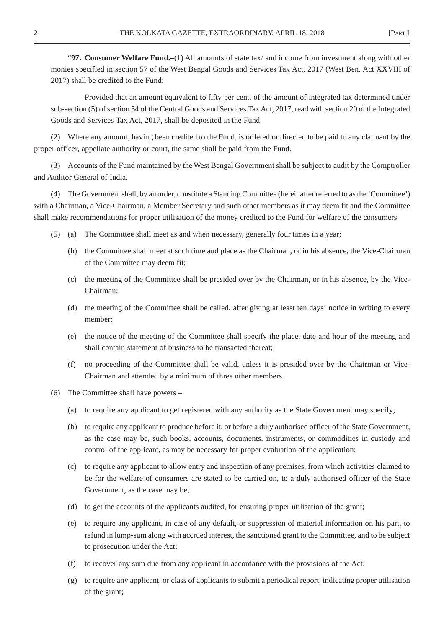"**97. Consumer Welfare Fund.–**(1) All amounts of state tax/ and income from investment along with other monies specified in section 57 of the West Bengal Goods and Services Tax Act, 2017 (West Ben. Act XXVIII of 2017) shall be credited to the Fund:

Provided that an amount equivalent to fifty per cent. of the amount of integrated tax determined under sub-section (5) of section 54 of the Central Goods and Services Tax Act, 2017, read with section 20 of the Integrated Goods and Services Tax Act, 2017, shall be deposited in the Fund.

(2) Where any amount, having been credited to the Fund, is ordered or directed to be paid to any claimant by the proper officer, appellate authority or court, the same shall be paid from the Fund.

(3) Accounts of the Fund maintained by the West Bengal Government shall be subject to audit by the Comptroller and Auditor General of India.

(4) The Government shall, by an order, constitute a Standing Committee (hereinafter referred to as the 'Committee') with a Chairman, a Vice-Chairman, a Member Secretary and such other members as it may deem fit and the Committee shall make recommendations for proper utilisation of the money credited to the Fund for welfare of the consumers.

- (5) (a) The Committee shall meet as and when necessary, generally four times in a year;
	- (b) the Committee shall meet at such time and place as the Chairman, or in his absence, the Vice-Chairman of the Committee may deem fit;
	- (c) the meeting of the Committee shall be presided over by the Chairman, or in his absence, by the Vice-Chairman;
	- (d) the meeting of the Committee shall be called, after giving at least ten days' notice in writing to every member;
	- (e) the notice of the meeting of the Committee shall specify the place, date and hour of the meeting and shall contain statement of business to be transacted thereat;
	- (f) no proceeding of the Committee shall be valid, unless it is presided over by the Chairman or Vice-Chairman and attended by a minimum of three other members.
- (6) The Committee shall have powers
	- (a) to require any applicant to get registered with any authority as the State Government may specify;
	- (b) to require any applicant to produce before it, or before a duly authorised officer of the State Government, as the case may be, such books, accounts, documents, instruments, or commodities in custody and control of the applicant, as may be necessary for proper evaluation of the application;
	- (c) to require any applicant to allow entry and inspection of any premises, from which activities claimed to be for the welfare of consumers are stated to be carried on, to a duly authorised officer of the State Government, as the case may be;
	- (d) to get the accounts of the applicants audited, for ensuring proper utilisation of the grant;
	- (e) to require any applicant, in case of any default, or suppression of material information on his part, to refund in lump-sum along with accrued interest, the sanctioned grant to the Committee, and to be subject to prosecution under the Act;
	- (f) to recover any sum due from any applicant in accordance with the provisions of the Act;
	- (g) to require any applicant, or class of applicants to submit a periodical report, indicating proper utilisation of the grant;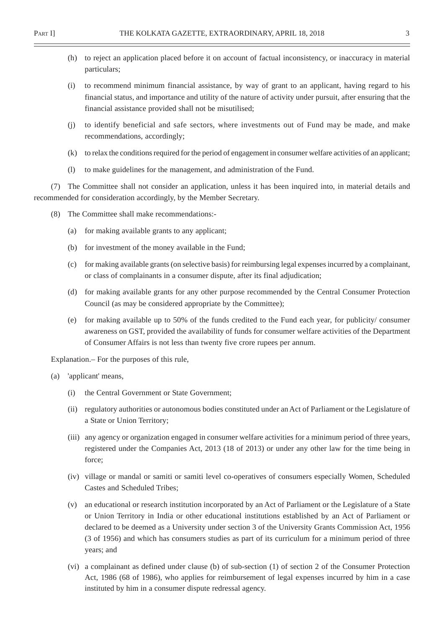- (h) to reject an application placed before it on account of factual inconsistency, or inaccuracy in material particulars;
- (i) to recommend minimum financial assistance, by way of grant to an applicant, having regard to his financial status, and importance and utility of the nature of activity under pursuit, after ensuring that the financial assistance provided shall not be misutilised;
- (j) to identify beneficial and safe sectors, where investments out of Fund may be made, and make recommendations, accordingly;
- (k) to relax the conditions required for the period of engagement in consumer welfare activities of an applicant;
- (l) to make guidelines for the management, and administration of the Fund.

(7) The Committee shall not consider an application, unless it has been inquired into, in material details and recommended for consideration accordingly, by the Member Secretary.

- (8) The Committee shall make recommendations:-
	- (a) for making available grants to any applicant;
	- (b) for investment of the money available in the Fund;
	- (c) for making available grants (on selective basis) for reimbursing legal expenses incurred by a complainant, or class of complainants in a consumer dispute, after its final adjudication;
	- (d) for making available grants for any other purpose recommended by the Central Consumer Protection Council (as may be considered appropriate by the Committee);
	- (e) for making available up to 50% of the funds credited to the Fund each year, for publicity/ consumer awareness on GST, provided the availability of funds for consumer welfare activities of the Department of Consumer Affairs is not less than twenty five crore rupees per annum.

Explanation.– For the purposes of this rule,

- (a) 'applicant' means,
	- (i) the Central Government or State Government;
	- (ii) regulatory authorities or autonomous bodies constituted under an Act of Parliament or the Legislature of a State or Union Territory;
	- (iii) any agency or organization engaged in consumer welfare activities for a minimum period of three years, registered under the Companies Act, 2013 (18 of 2013) or under any other law for the time being in force;
	- (iv) village or mandal or samiti or samiti level co-operatives of consumers especially Women, Scheduled Castes and Scheduled Tribes;
	- (v) an educational or research institution incorporated by an Act of Parliament or the Legislature of a State or Union Territory in India or other educational institutions established by an Act of Parliament or declared to be deemed as a University under section 3 of the University Grants Commission Act, 1956 (3 of 1956) and which has consumers studies as part of its curriculum for a minimum period of three years; and
	- (vi) a complainant as defined under clause (b) of sub-section (1) of section 2 of the Consumer Protection Act, 1986 (68 of 1986), who applies for reimbursement of legal expenses incurred by him in a case instituted by him in a consumer dispute redressal agency.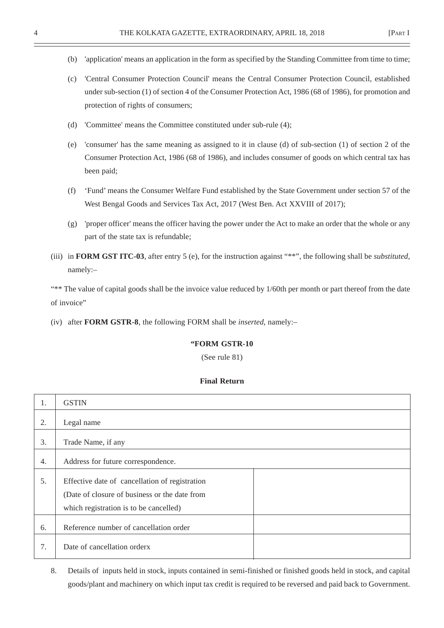- (b) 'application' means an application in the form as specified by the Standing Committee from time to time;
- (c) 'Central Consumer Protection Council' means the Central Consumer Protection Council, established under sub-section (1) of section 4 of the Consumer Protection Act, 1986 (68 of 1986), for promotion and protection of rights of consumers;
- (d) 'Committee' means the Committee constituted under sub-rule (4);
- (e) 'consumer' has the same meaning as assigned to it in clause (d) of sub-section (1) of section 2 of the Consumer Protection Act, 1986 (68 of 1986), and includes consumer of goods on which central tax has been paid;
- (f) 'Fund' means the Consumer Welfare Fund established by the State Government under section 57 of the West Bengal Goods and Services Tax Act, 2017 (West Ben. Act XXVIII of 2017);
- (g) 'proper officer' means the officer having the power under the Act to make an order that the whole or any part of the state tax is refundable;
- (iii) in **FORM GST ITC-03**, after entry 5 (e), for the instruction against "\*\*", the following shall be *substituted*, namely:–

"\*\* The value of capital goods shall be the invoice value reduced by 1/60th per month or part thereof from the date of invoice"

(iv) after **FORM GSTR-8**, the following FORM shall be *inserted*, namely:–

#### **"FORM GSTR-10**

(See rule 81)

#### **Final Return**

| 1. | <b>GSTIN</b>                                   |
|----|------------------------------------------------|
| 2. | Legal name                                     |
| 3. | Trade Name, if any                             |
| 4. | Address for future correspondence.             |
| 5. | Effective date of cancellation of registration |
|    | (Date of closure of business or the date from  |
|    | which registration is to be cancelled)         |
| 6. | Reference number of cancellation order         |
| 7. | Date of cancellation orderx                    |

8. Details of inputs held in stock, inputs contained in semi-finished or finished goods held in stock, and capital goods/plant and machinery on which input tax credit is required to be reversed and paid back to Government.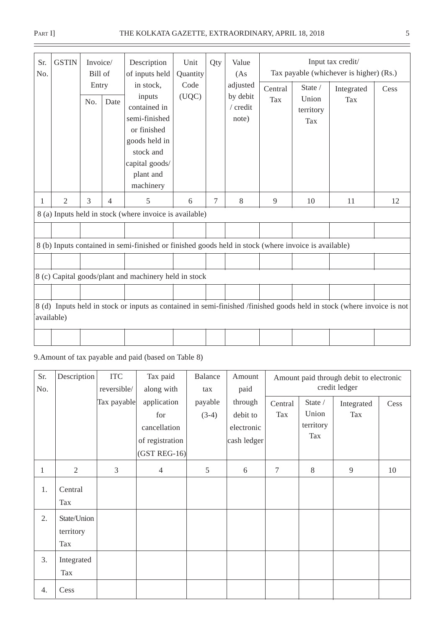| Sr.<br>No. | <b>GSTIN</b>   |              | Invoice/<br>Bill of | Description<br>of inputs held                                                                                                                 | Unit<br>Quantity | Qty | Value<br>(As                              | Input tax credit/<br>Tax payable (whichever is higher) (Rs.) |                                      |                   |      |
|------------|----------------|--------------|---------------------|-----------------------------------------------------------------------------------------------------------------------------------------------|------------------|-----|-------------------------------------------|--------------------------------------------------------------|--------------------------------------|-------------------|------|
|            |                | Entry<br>No. | Date                | in stock,<br>inputs<br>contained in<br>semi-finished<br>or finished<br>goods held in<br>stock and<br>capital goods/<br>plant and<br>machinery | Code<br>(UQC)    |     | adjusted<br>by debit<br>/ credit<br>note) | Central<br>Tax                                               | State /<br>Union<br>territory<br>Tax | Integrated<br>Tax | Cess |
| 1          | $\overline{2}$ | 3            | 4                   | 5                                                                                                                                             | 6                | 7   | 8                                         | 9                                                            | 10                                   | 11                | 12   |
|            |                |              |                     | 8 (a) Inputs held in stock (where invoice is available)                                                                                       |                  |     |                                           |                                                              |                                      |                   |      |
|            |                |              |                     |                                                                                                                                               |                  |     |                                           |                                                              |                                      |                   |      |
|            |                |              |                     | 8 (b) Inputs contained in semi-finished or finished goods held in stock (where invoice is available)                                          |                  |     |                                           |                                                              |                                      |                   |      |
|            |                |              |                     |                                                                                                                                               |                  |     |                                           |                                                              |                                      |                   |      |
|            |                |              |                     | 8 (c) Capital goods/plant and machinery held in stock                                                                                         |                  |     |                                           |                                                              |                                      |                   |      |
|            |                |              |                     |                                                                                                                                               |                  |     |                                           |                                                              |                                      |                   |      |
|            | available)     |              |                     | 8 (d) Inputs held in stock or inputs as contained in semi-finished /finished goods held in stock (where invoice is not                        |                  |     |                                           |                                                              |                                      |                   |      |
|            |                |              |                     |                                                                                                                                               |                  |     |                                           |                                                              |                                      |                   |      |

# 9.Amount of tax payable and paid (based on Table 8)

| Sr. | Description    | <b>ITC</b>  | Tax paid        | Balance | Amount      | Amount paid through debit to electronic |               |            |      |
|-----|----------------|-------------|-----------------|---------|-------------|-----------------------------------------|---------------|------------|------|
| No. |                | reversible/ | along with      | tax     | paid        |                                         | credit ledger |            |      |
|     |                | Tax payable | application     | payable | through     | Central                                 | State /       | Integrated | Cess |
|     |                |             | for             | $(3-4)$ | debit to    | Tax                                     | Union         | Tax        |      |
|     |                |             | cancellation    |         | electronic  |                                         | territory     |            |      |
|     |                |             | of registration |         | cash ledger |                                         | Tax           |            |      |
|     |                |             | $(GST REG-16)$  |         |             |                                         |               |            |      |
| 1   | $\overline{2}$ | 3           | $\overline{4}$  | 5       | $6\,$       | $\overline{7}$                          | $8\,$         | 9          | 10   |
| 1.  | Central        |             |                 |         |             |                                         |               |            |      |
|     | Tax            |             |                 |         |             |                                         |               |            |      |
| 2.  | State/Union    |             |                 |         |             |                                         |               |            |      |
|     | territory      |             |                 |         |             |                                         |               |            |      |
|     | Tax            |             |                 |         |             |                                         |               |            |      |
| 3.  | Integrated     |             |                 |         |             |                                         |               |            |      |
|     | Tax            |             |                 |         |             |                                         |               |            |      |
| 4.  | Cess           |             |                 |         |             |                                         |               |            |      |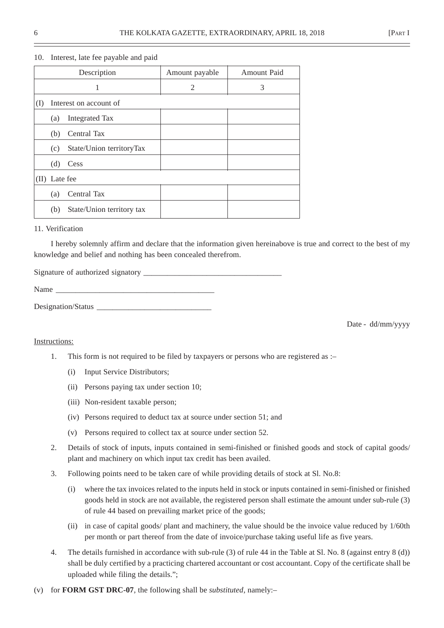|     | Description                      | Amount payable | <b>Amount Paid</b> |
|-----|----------------------------------|----------------|--------------------|
|     | 1                                | 2              | 3                  |
| (I) | Interest on account of           |                |                    |
|     | Integrated Tax<br>(a)            |                |                    |
|     | Central Tax<br>(b)               |                |                    |
|     | State/Union territoryTax<br>(c)  |                |                    |
|     | (d)<br>Cess                      |                |                    |
|     | (II) Late fee                    |                |                    |
|     | Central Tax<br>(a)               |                |                    |
|     | State/Union territory tax<br>(b) |                |                    |

#### 10. Interest, late fee payable and paid

#### 11. Verification

I hereby solemnly affirm and declare that the information given hereinabove is true and correct to the best of my knowledge and belief and nothing has been concealed therefrom.

Signature of authorized signatory \_

| Designation/Status |  |
|--------------------|--|
|--------------------|--|

# Date - dd/mm/yyyy

### Instructions:

- 1. This form is not required to be filed by taxpayers or persons who are registered as :–
	- (i) Input Service Distributors;
	- (ii) Persons paying tax under section 10;
	- (iii) Non-resident taxable person;
	- (iv) Persons required to deduct tax at source under section 51; and
	- (v) Persons required to collect tax at source under section 52.
- 2. Details of stock of inputs, inputs contained in semi-finished or finished goods and stock of capital goods/ plant and machinery on which input tax credit has been availed.
- 3. Following points need to be taken care of while providing details of stock at Sl. No.8:
	- (i) where the tax invoices related to the inputs held in stock or inputs contained in semi-finished or finished goods held in stock are not available, the registered person shall estimate the amount under sub-rule (3) of rule 44 based on prevailing market price of the goods;
	- (ii) in case of capital goods/ plant and machinery, the value should be the invoice value reduced by 1/60th per month or part thereof from the date of invoice/purchase taking useful life as five years.
- 4. The details furnished in accordance with sub-rule (3) of rule 44 in the Table at Sl. No. 8 (against entry 8 (d)) shall be duly certified by a practicing chartered accountant or cost accountant. Copy of the certificate shall be uploaded while filing the details.";
- (v) for **FORM GST DRC-07**, the following shall be *substituted*, namely:–